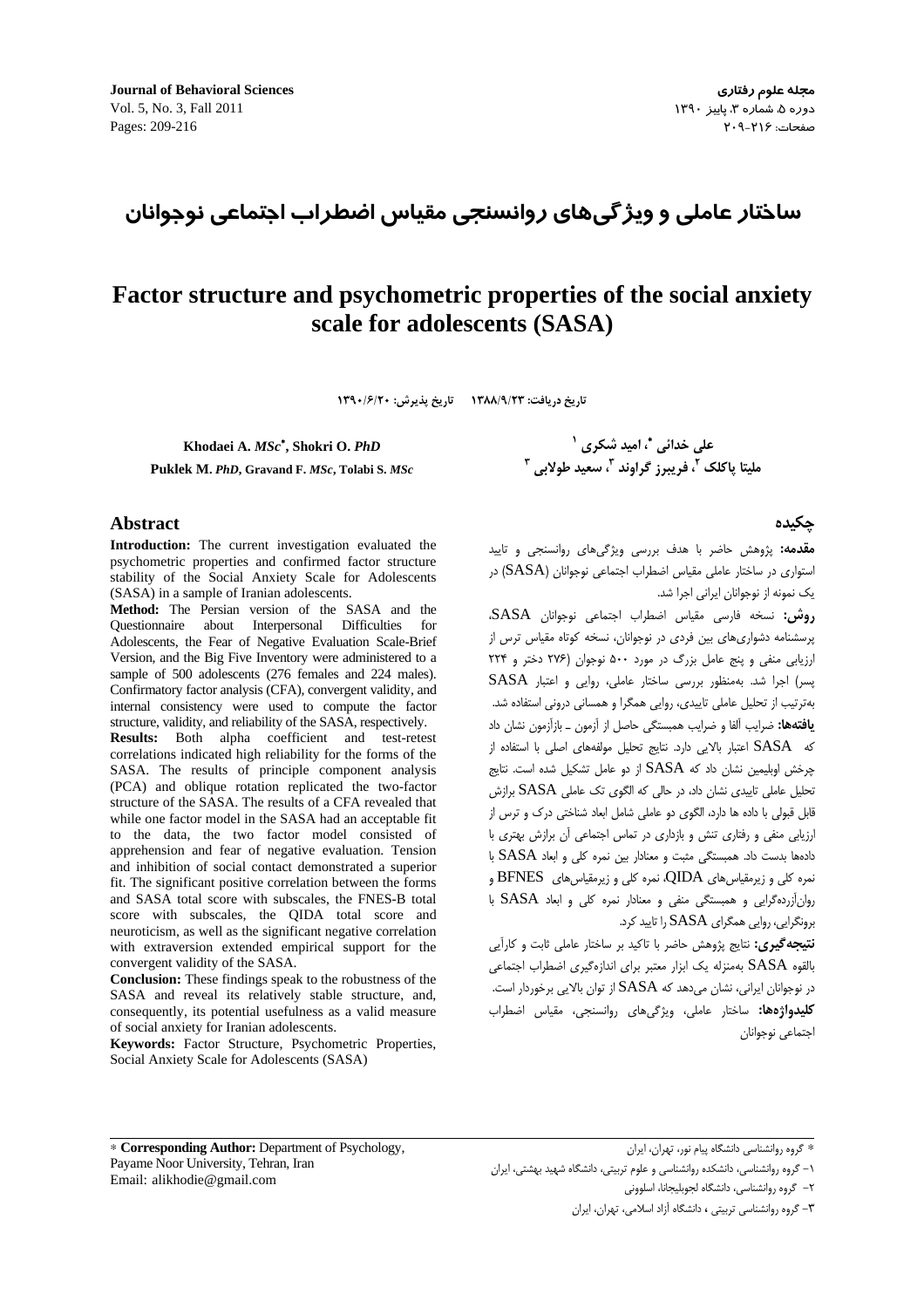ساختار عاملی و ویژ گیهای روانسنجی مقیاس اضطراب اجتماعی نوجوانان

# Factor structure and psychometric properties of the social anxiety scale for adolescents (SASA)

تاريخ دريافت: ١٣٨٨/٩/٢٣ تاريخ پذيرش: ١٣٩٠/۶/٢٠

Khodaei A. MSc\*, Shokri O. PhD

Puklek M. PhD, Gravand F. MSc, Tolabi S. MSc

#### **Abstract**

Introduction: The current investigation evaluated the psychometric properties and confirmed factor structure stability of the Social Anxiety Scale for Adolescents (SASA) in a sample of Iranian adolescents.

Method: The Persian version of the SASA and the Questionnaire about Interpersonal Difficulties for Adolescents, the Fear of Negative Evaluation Scale-Brief Version, and the Big Five Inventory were administered to a sample of 500 adolescents (276 females and 224 males). Confirmatory factor analysis (CFA), convergent validity, and internal consistency were used to compute the factor structure, validity, and reliability of the SASA, respectively.

Results: Both alpha coefficient and test-retest correlations indicated high reliability for the forms of the SASA. The results of principle component analysis (PCA) and oblique rotation replicated the two-factor structure of the SASA. The results of a CFA revealed that while one factor model in the SASA had an acceptable fit to the data, the two factor model consisted of apprehension and fear of negative evaluation. Tension and inhibition of social contact demonstrated a superior fit. The significant positive correlation between the forms and SASA total score with subscales, the FNES-B total score with subscales, the QIDA total score and neuroticism, as well as the significant negative correlation with extraversion extended empirical support for the convergent validity of the SASA.

**Conclusion:** These findings speak to the robustness of the SASA and reveal its relatively stable structure, and, consequently, its potential usefulness as a valid measure of social anxiety for Iranian adolescents.

Keywords: Factor Structure, Psychometric Properties, Social Anxiety Scale for Adolescents (SASA)

علی خدائی "، امید شکری <sup>۱</sup> مليتا ياكلک <sup>٢</sup>، فريبرز گراوند <sup>٣</sup>، سعيد طولايي <sup>٣</sup>

# حكىدە

**مقدمه:** پژوهش حاضر با هدف بررسی ویژگیهای روانسنجی و تایید استواری در ساختار عاملی مقیاس اضطراب اجتماعی نوجوانان (SASA) در یک نمونه از نوجوانان ایرانی اجرا شد.

روش: نسخه فارسی مقیاس اضطراب اجتماعی نوجوانان SASA، پرسشنامه دشواریهای بین فردی در نوجوانان، نسخه کوتاه مقیاس ترس از ارزیابی منفی و پنج عامل بزرگ در مورد ۵۰۰ نوجوان (۲۷۶ دختر و ۲۲۴ پسر) اجرا شد. بهمنظور بررسی ساختار عاملی، روایی و اعتبار SASA بهترتیب از تحلیل عاملی تاییدی، روایی همگرا و همسانی درونی استفاده شد. **یافتهها:** ضرایب آلفا و ضرایب همبستگی حاصل از آزمون ــ بازآزمون نشان داد كه SASA اعتبار بالايي دارد. نتايج تحليل مولفههاى اصلى با استفاده از چرخش اوبلیمین نشان داد که SASA از دو عامل تشکیل شده است. نتایج تحلیل عاملی تاییدی نشان داد، در حالی که الگوی تک عاملی SASA برازش قابل قبولی با داده ها دارد، الگوی دو عاملی شامل ابعاد شناختی درک و ترس از ارزیابی منفی و رفتاری تنش و بازداری در تماس اجتماعی آن برازش بهتری با دادهها بدست داد. همبستگی مثبت و معنادار بین نمره کلی و ابعاد SASA با نمره کلی و زیرمقیاس های QIDA، نمره کلی و زیرمقیاس های  $\operatorname{BFNES}$  و روان آزرده گرایی و همبستگی منفی و معنادار نمره کلی و ابعاد SASA با برونگرایی، روایی همگرای SASA را تایید کرد.

**نتیجه گیری:** نتایج پژوهش حاضر با تاکید بر ساختار عاملی ثابت و کارآیی بالقوه SASA بهمنزله یک ابزار معتبر برای اندازهگیری اضطراب اجتماعی در نوجوانان ایرانی، نشان میدهد که SASA از توان بالایی برخوردار است. **کلیدواژهها:** ساختار عاملی، ویژگیهای روانسنجی، مقیاس اضطراب اجتماعي نوجوانان

\* Corresponding Author: Department of Psychology, Payame Noor University, Tehran, Iran Email: alikhodie@gmail.com

\* گروه روانشناسی دانشگاه پیام نور، تهران، ایران

٢– گروه روانشناسی، دانشگاه لجوبلیجانا، اسلوونی

٣- گروه روانشناسی تربیتی ، دانشگاه آزاد اسلامی، تهران، ایران

۱– گروه روانشناسی، دانشکده روانشناسی و علوم تربیتی، دانشگاه شهید بهشتی، ایران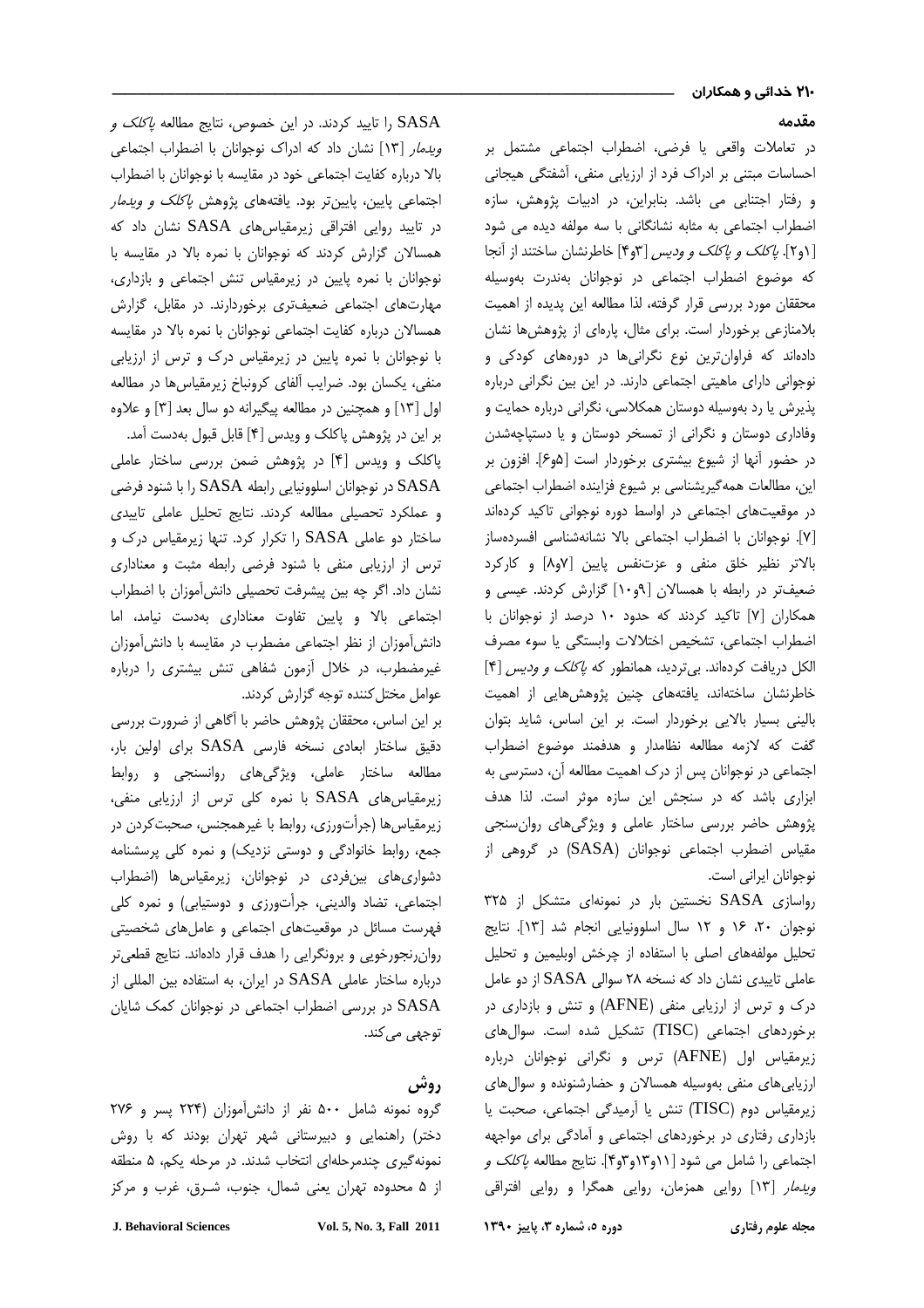## مقدمه

در تعاملات واقعي با فرضي، اضطراب احتماعي مشتمل بر احساسات مبتنے ، ادراک فرد از ارزبابی منفی، آشفتگی هیجانی ه رفتار احتناب می باشد. بنایران، در ادبیات شوهش، سازه اضطراب احتماعه به مثابه نشانگانه را سه مولفه دیده می شود [۱و۲]. *پاکلک و پاکلک و ودیس* [۳و۴] خاطرنشان ساختند از أنجا ی<br>که موضوع اضطراب احتماعی در نوجوانان بهندرت بهوسیله محققان مورد بررس قرار گرفته، لذا مطالعه ابن بدیده از اهمیت بلامنازعي برخوردار است. برا*ي م*ثال، بارواي از بژوهش ها نشان دادهاند که فراهان ترین نوع نگرانیها در دوروها*ی ک*ودکی و .<br>نوجوانی دارای ماهیتی اجتماعی دارند. در آین بین نگرانی درباره بذرش با رد بهوسیله دوستان همکلاسی، نگرانی درباره حمایت و .<br>مفاداری دوستان و نگرانی از تمسخر دوستان و با دستباچهشدن در حضور آنها از شیوع پیشتری برخوردار است [۵٫۵]. افزون بر ابن مطالعات همه گربشناس بر شیوع فزاینده اضطراب احتماعی در موقعیتهای احتماعی در اواسط دوره نوجوانی تاکید ک**د**هاند .<br>[۷]. نوجوانان با اضطراب اجتماعي بالا نشانهشناسي افسردوساز .<br>بالات نظير خلق منفي و عزتنفس بابين [٨٥٧] و كاركاد .<br>ضعیفتر در رابطه با همسالان [۹۰-۱] گزارش کردند. عیسی و همکاران VI تاکید کردند که جدود ۱۰ درصد از نوجوانان با اضطراب احتماعه، تشخيص اختلالات وابستگه با سوء مصرف الکل دریافت کردهاند. بیتردید، همانطور که *پاکلک و ودیس* [۴] .<br>خاط نشان ساختهاند، بافتههای جنبن بژوهش هایی از اهمیت .<br>بالبند ، بسیار بالایی برخوردار است. بر آبن اساس، شاید بتوان گفت که لازمه مطالعه نظامدار و هدفمند موضوع اضطراب احتماعی در نوجوانان سی از درک اهمیت مطالعه آن دسترس*ی ب*ه اناری باشد که در سنجش این سازه موثر است. لذا هدف ن هش حاضر بررس ساختار عامل و وبرگ های روان سنجی مقیاس اضطرب اجتماعی نوجوانان (SASA) در گروهی از نوجوانان ابراني اس*ت.* 

رواسازی SASA نخستین بار در نمونهای متشکل از ۳۲۵ نوجوان ٢٠، ١۶ و ١٢ سال اسلوونيايي انجام شد [١٣]. نتايج .<br>تحلیل مولفههای اصلی با استفاده از حرخش اوبلیمین و تحلیل ءاملی تاییدی نشان داد که نسخه ۲۸ سوالی SASA از دو عامل درک و ترس از ارزیابی منفی (AFNE) و تنش و بازداری در ر.<br>رخوردهای اجتماعی (TISC) تشکیل شده است. سوالهای j .<br>زیرمقیاس اول (AFNE) ترس و نگرانی نوجوانان درباره ارزیابی های منفی بهوسیله همسالان و حضارشنونده و سوال های زیرمقیاس دوم (TISC) تنش یا آرمیدگی اجتماعی، صحبت یا بازداری رفتاری در برخوردهای احتماعی و آمادگی برای مواجعه اجتماعی را شامل می شود [۱۱و۱۳و۴]. نتایج مطالعه *پاکلک و ویدمار* [۱۳] روایی همزمان، روایی همگرا و روایی افتراقی

را تایید کردند. در این خصوص، نتایج مطالعه *پاکلک و* K ک و*یدمار* [۱۳] نشان داد که ادراک نوجوانان با اضطراب اجتماعی بالا درباره كفايت احتماعي خود در مقايسه با نوجوانان با اضطراب<br>بالا درباره كفايت احتماعي خود در مقايسه با نوجوانان با اضطراب اجتماعی پایین، پایینتر بود. یافتههای پژوهش *پاکلک و ویدمار* در تاييد روايي افتراقى زيرمقياس هاى SASA نشان داد كه همسالان گزارش کردند که نوجوانان با نمره بالا در مقایسه با .<br>نوجوانان با نمره بابین در زبرمقیاس تنش اجتماعی و بازدار*ی*، مدارتهای احتماعی ضعیفت *ی* برخوردارند. در مقابل، گزارش همسالان درباره كفايت احتماعي نوجوانان با نمره بالا در مقايسه با نوجوانان با نمره بابین در زیرمقیاس درک و ترس از آرزبایی منف، بکسان بود. ضرابب آلفای کرونیاخ زیرمقباس ها در مطالعه اهل [۱۳] و همچنین در مطالعه بیگیرانه دو سال بعد [۳] و علاوه بر این در پژوهش پاکلک و ویدس [۴] قابل قبول بهدست آمد. J .<br>پاکلک و ویدس [۴] در پژوهش ضمن بررسی ساختار عاملی در نوجوانان اسلوونيايي رابطه SASA را با شنود فرضي SASA ه عملک د تحصیلی مطالعه ک**دند. نتایج تحلیل عاملی تابید***ی* ساختار دو عاملی SASA را تکرار کرد. تنها زیرمقیاس درک و . س از ارزبایی منفی با شنود فرضی رابطه مثبت و معناداری .<br>ز نشان داد. اگر چه بین بیشرفت تحصیلی دانش آموزان با اضطراب احتماعی بالا و بابین تفاوت معناداری بهدست نبامد، اما دانش آموزان از نظر احتماعه مضطرب در مقابسه با دانش آموزان .<br>غیرمضطرب، در خلال آزمون شفاهی تنش بیشتری را درباره عوامل مختل کننده توجه گزارش کردند.

، ابن اساس، محققان بثوهش حاضر با آگاهی از ضرورت بررس j دقیق ساختار ابعادی نسخه فارسی SASA برای اولین بار، مطالعه ساختار عامله، وبژگرهای روانسنجر و روابط .<br>زیرمقیاس های SASA با نمره کلی ترس از ارزیابی منفی، ز برمقياس ها (چرأتورزي، روابط با غيرهمچنس، صحبت کردن در حمع، روابط خانوادگی و دوستی نزدیک) و نمره کلب پریشنامه دشواری های پین فردی در نوجوانان، زبرمقباس ها (اضطراب احتماعه ، تضاد والدینه ، حرأتورزی و دوستبایی) و نمره کله *.* .<br>فه س*ت* مسائل در موقعیتها*ی* احتماعی و عامل ها*ی* شخصیتی روان نجورخوب و برونگرایی را هدف قرار دادهاند. نتایج قطعی تر درباره ساختار عاملی SASA در ایران، به استفاده بین المللی از ۔<br>SASA در بررسی اضطراب اجتماعی در نوجوانان کمک شایان توجھے مے کند.

# روش

گروه نمونه شامل ۵۰۰ نفر از دانش آموزان (۲۲۴ بسر و ۲۷۶ دختر) راهنمایی و دیپرستانی شفر تقرآن بودند که با روش نمونه گري جندم حلهاي انتخاب شدند. در مرحله يکم، ۵ منطقه از ۵ محدوده تمان بعنه شمال حنوب شبرق غرب و مرکز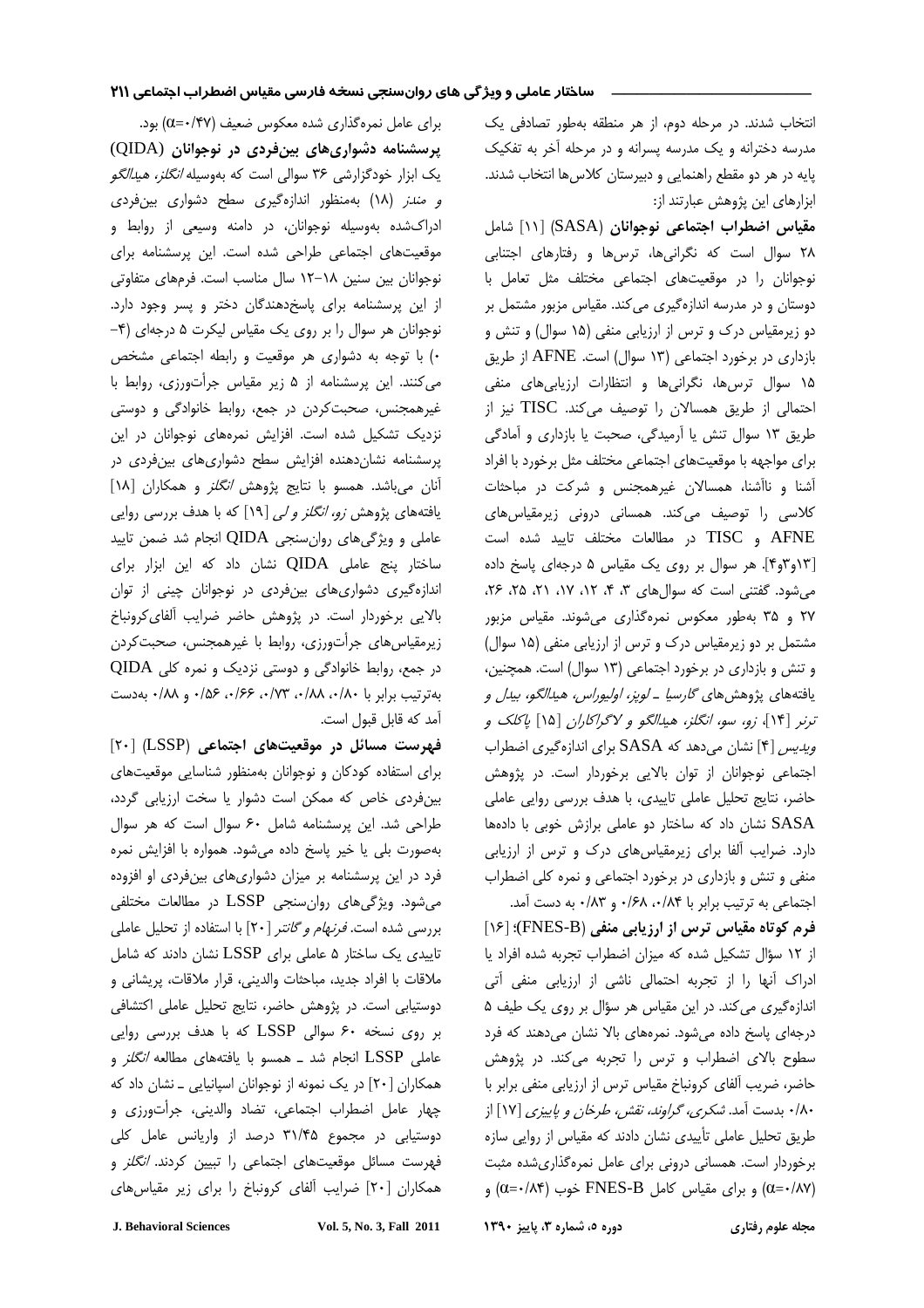انتخاب شدند. در مرحله دوم، از هر منطقه بهطور تصادفی یک مدرسه دخترانه و یک مدرسه پسرانه و در مرحله آخر به تفکیک پایه در هر دو مقطع راهنمایی و دبیرستان کلاسها انتخاب شدند. ابزارهای این پژوهش عبارتند از:

مقياس اضطراب اجتماعي نوجوانان (SASA) [١١] شامل ٢٨ سوال است كه نگرانىها، ترسها و رفتارهاى اجتنابى نوجوانان را در موقعیتهای اجتماعی مختلف مثل تعامل با دوستان و در مدرسه اندازهگیری می کند. مقیاس مزبور مشتمل بر دو زیرمقیاس درک و ترس از ارزیابی منفی (۱۵ سوال) و تنش و بازداری در برخورد اجتماعی (١٣ سوال) است. AFNE از طريق ۱۵ سوال ترسها، نگرانیها و انتظارات ارزیابیهای منفی احتمالی از طریق همسالان را توصیف می کند. TISC نیز از طريق ١٣ سوال تنش يا أرميدگي، صحبت يا بازداري و أمادگي برای مواجهه با موقعیتهای اجتماعی مختلف مثل برخورد با افراد آشنا و ناآشنا، همسالان غیرهمجنس و شرکت در مباحثات كلاسى را توصيف مى كند. همسانى درونى زيرمقياس هاى AFNE و TISC در مطالعات مختلف تاييد شده است [١٣وموم]. هر سوال بر روى يك مقياس ٥ درجهاى پاسخ داده می شود. گفتنی است که سوال های ۳، ۴، ۱۲، ۱۷، ۲۱، ۲۵، ۲۶، ۲۷ و ۳۵ بهطور معکوس نمرهگذاری میشوند. مقیاس مزبور مشتمل بر دو زیرمقیاس درک و ترس از ارزیابی منفی (۱۵ سوال) و تنش و بازداری در برخورد اجتماعی (۱۳ سوال) است. همچنین، يافتههاي پژوهشهاي *گارسيا ـ لوپز، اوليوراس، هيدالگو، بيدل و* ترنر [۱۴]، زو، سو، انگلز، هیدالگو و لاگراکاران [۱۵] پاکلک و ویدیس [۴] نشان می دهد که SASA برای اندازهگیری اضطراب اجتماعی نوجوانان از توان بالایی برخوردار است. در پژوهش حاضر، نتايج تحليل عاملي تاييدي، با هدف بررسي روايي عاملي SASA نشان داد که ساختار دو عاملی برازش خوبی با دادهها دارد. ضرایب آلفا برای زیرمقیاس های درک و ترس از ارزیابی منفی و تنش و بازداری در برخورد اجتماعی و نمره کلی اضطراب اجتماعی به ترتیب برابر با ۰/۶۸ ،۰/۸۴ و ۰/۸۳ به دست آمد.

فرم کوتاه مقیاس ترس از ارزیابی منفی (FNES-B)؛ [۱۶] از ١٢ سؤال تشكيل شده كه ميزان اضطراب تجربه شده افراد يا ادراک أنها را از تجربه احتمالی ناشی از ارزیابی منفی آتی اندازه گیری می کند. در این مقیاس هر سؤال بر روی یک طیف ۵ درجهای پاسخ داده می شود. نمرههای بالا نشان می دهند که فرد سطوح بالای اضطراب و ترس را تجربه می کند. در پژوهش حاضر، ضریب آلفای کرونباخ مقیاس ترس از ارزیابی منفی برابر با ۰/۸۰ بدست آمد. *شکری، گراوند، نقش، طرخان و پاییزی* [۱۷] از طریق تحلیل عاملی تأییدی نشان دادند که مقیاس از روایی سازه برخوردار است. همسانی درونی برای عامل نمرهگذاری شده مثبت  $(0 = \cdot / \Lambda^*)$ و برای مقیاس کامل FNES-B خوب ( $\alpha = \cdot / \Lambda^*)$ ) و

دوره ٥، شماره ٣، پاییز ١٣٩٠

برای عامل نمرهگذاری شده معکوس ضعیف (۴۷/۰=)) بود. پرسشنامه دشواریهای بینفردی در نوجوانان (QIDA) یک ابزار خودگزارشی ۳۶ سوالی است که بهوسیله *انگلز، هیدالگو* و مندر (١٨) بهمنظور اندازهگیری سطح دشواری بین فردی ادراکشده بهوسیله نوجوانان، در دامنه وسیعی از روابط و موقعیتهای اجتماعی طراحی شده است. این پرسشنامه برای نوجوانان بین سنین ١٨-١٢ سال مناسب است. فرمهای متفاوتی از این پرسشنامه برای پاسخدهندگان دختر و پسر وجود دارد. نوجوانان هر سوال را بر روی یک مقیاس لیکرت ۵ درجهای (۴− ٠) با توجه به دشواري هر موقعيت و رابطه اجتماعي مشخص می کنند. این پرسشنامه از ۵ زیر مقیاس جرأتورزی، روابط با غیرهمجنس، صحبتکردن در جمع، روابط خانوادگی و دوستی نزدیک تشکیل شده است. افزایش نمرههای نوجوانان در این پرسشنامه نشان دهنده افزایش سطح دشواری های بین فردی در آنان می باشد. همسو با نتایج پژوهش *انگلز* و همکاران [۱۸] یافتههای پژوهش *زو، انگلز و لی* [۱۹] که با هدف بررسی روایی عاملي و ویژگی های روان سنجی QIDA انجام شد ضمن تایید ساختار پنج عاملی QIDA نشان داد که این ابزار برای اندازهگیری دشواریهای بینفردی در نوجوانان چینی از توان بالایی برخوردار است. در پژوهش حاضر ضرایب ألفای کرونباخ زیرمقیاس های جرأتورزی، روابط با غیرهمجنس، صحبت کردن در جمع، روابط خانوادگی و دوستی نزدیک و نمره کلی QIDA بهترتيب برابر با ١٨٠، ١٨٨، ١٧٣، ١۶۶، ١۵۶، و ١٨٨، به دست آمد كه قابل قبول است.

فهرست مسائل در موقعیتهای اجتماعی (LSSP) [۲۰] برای استفاده کودکان و نوجوانان بهمنظور شناسایی موقعیتهای بینفردی خاص که ممکن است دشوار یا سخت ارزیابی گردد، طراحی شد. این پرسشنامه شامل ۶۰ سوال است که هر سوال بهصورت بلی یا خیر پاسخ داده میشود. همواره با افزایش نمره فرد در این پرسشنامه بر میزان دشواریهای بینفردی او افزوده می شود. ویژگی های روان سنجی LSSP در مطالعات مختلفی بررسی شده است. *فرنهام و گانتر* [۲۰] با استفاده از تحلیل عاملی تاییدی یک ساختار ۵ عاملی برای LSSP نشان دادند که شامل ملاقات با افراد جديد، مباحثات والديني، قرار ملاقات، پريشاني و دوستیابی است. در پژوهش حاضر، نتایج تحلیل عاملی اکتشافی بر روی نسخه ۶۰ سوالی LSSP که با هدف بررسی روایی عاملی LSSP انجام شد ــ همسو با یافتههای مطالعه *انگلز* و همکاران [۲۰] در یک نمونه از نوجوانان اسپانیایی ـ نشان داد که چهار عامل اضطراب اجتماعی، تضاد والدینی، جرأتورزی و دوستیابی در مجموع ۳۱/۴۵ درصد از واریانس عامل کلی فهرست مسائل موقعیتهای اجتماعی را تبیین کردند. *انگلز* و همکاران [۲۰] ضرایب آلفای کرونباخ را برای زیر مقیاس های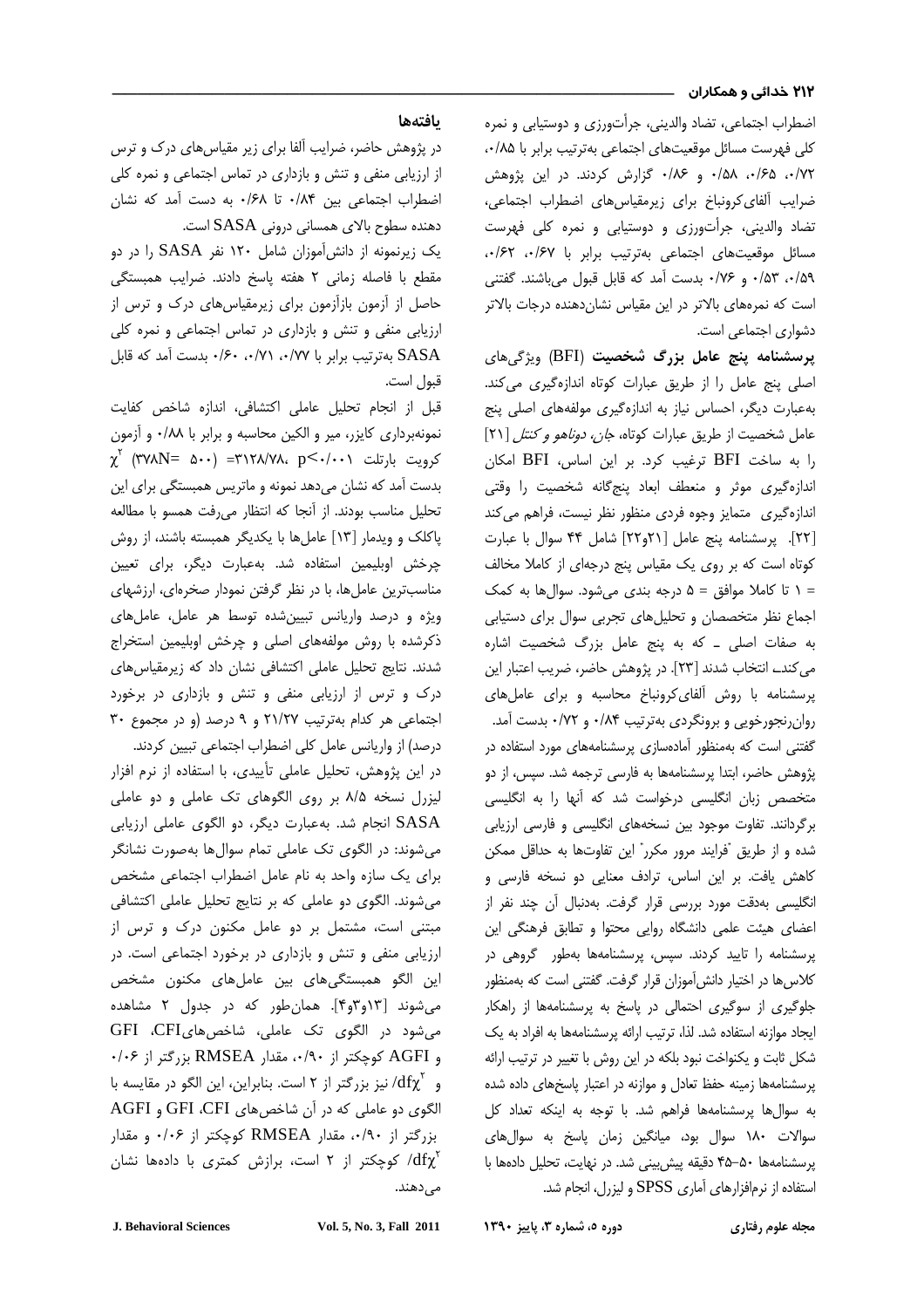### ۲۱۲ خدائی و همکاران

۳۱ کدانی و همکاران میکنند.<br>محمد الله است که این موقع است که است.<br>محمد الله است که است که است که است که است که است که است که است که است که است که است که است که است که است که اس اضطراب احتماعي، تضاد والديني، جرأتورزي و دوستبابي و نمره کلے ، فقرست مسائل موقعیتھای اختماعے ، بەترتیب برابر یا ۸۵/۰<sub>۶۰</sub> ۰/۷۲، ۱۶۵، ۱۵۸ و ۱۸۶۰ گزارش کردند. در آبن شوهش .<br>ضرایب آلفای کرونیاخ برای زیرمقیاید های اضطراب احتماعه ، تضاد والدینے، جرأتورزی و دوستیابے و نمرہ کلے فعرس*ت* مسائل موقعیتهای احتماعی بهترتیب بران با ۶۷/۰، ۶۲/۰، %% . 7% . م 10% بدست آمد كه قابل قبول مىباشند. گفتنى است که نمرههای بالاتر در آبن مقباس نشان دهنده درجات بالاتر دشوار*ی* احتماعی است.

> پرسشنامه پنج عامل بزرگ شخصیت (BFI) ویژگیهای اصل بنج عامل را از طریق عبارات کوتاه اندازهگیر*ی م*رکند. بهعبارت دیگ، احساس نیاز به اندازهگیری مولفههای اصلی بنج .<br>عامل شخصیت از طریق عبارات کوتاه، *جان، دوناهو و کنتل* [۲۱] را به ساخت BFI ترغیب کرد. بر این اساس، BFI امکان .<br>اندازه گیری موثر و منعطف ایعاد بنج گانه شخصیت را وقتر اندازهگری متمایز وجوه فرد*ی منظور نظ نیست، ف*راهم م*ی کند* .<br>[۲۲]. بی سشنامه بنج عامل [۲۲ه۲۲] شامل ۴۴ سوال با عبارت کوتاه است که بر روی یک مقیاس بنج درجهای از کاملا مخالف  $\circ$  تا كاملا موافق = ۵ درجه بندى مى شود. سوال ها به كمك احماء نظر متخصصان و تحلیل های تحربی سوال برای دستبابی به صفات اصلہ ۔ که به بنج عامل بزرگ شخصیت اشارہ م . کندے انتخاب شدند [۲۳]. در پژوهش حاضر، ضربب اعتبار این .<br>د سشنامه با روش آلفای کرونیاخ محاسبه و برای عاملهای . . وان نجورخوبي و پرونگ دي په ترتيب ۸۴ و ۷۲/۰ پدست آمد. گفتنی است که بهمنظور آمادهسازی بریشنامههای مورد استفاده در ن وهش حاضر، ابتدا بریشنامهها به فارسه ترجمه شد. سسر ، از دو متخصص زبان انگلیسی درخواست شد که آنها را به انگلیسی . گ دانند. تفاوت موجود بین نسخههای انگلیسی و فارسی ارزبایی J شده و از طریق "فرایند مرور مکن" این تفاوتها به حداقل ممکن .<br>كاهش يافت. بي ابن اساس، ترادف معنايي ده نسخه فارسي و .<br>انگلیسہ به بوقت مورد بررسی قرار گرفت. به دنبال آن جند نفر از ء<br>ضای هیئت علمی دانشگاه روایی محتول و تطابق فرهنگی این  $\overline{\phantom{a}}$ . سشنامه را تابید کردند. سببر ، بریشنامهها بهطور گروهی در .<br>د کلاس ها در اختیار دانش آموزان قرار گرفت. گفتنه راست که بهمنظور .<br>جلوگ ی از سوگ ی احتمالی در باس<del>خ</del> به پریشنامهها از راهکار ایجاد موازنه استفاده شد. لذا، ترتیب ارائه بریشنامهها به افراد به یک .<br>شکل ثابت و بکنواخت نبود بلکه در این روش با ت**غ**ییر در ترتیب ارائه . يستنامهها زمينه حفظ تعادل و موازنه در اعتبار باسخها*ي د*اده شده .<br>د به سوال ها بریشنامهها فراهم شد. با توجه به اینکه تعداد کل سوالات ١٨٠ سوال بود، ميانگين زمان پاسخ به سوال هاى پرسشنامهها ۵۰-۴۵ دقیقه پیش بینی شد. در نهایت، تحلیل دادهها با . استفاده از نرمافزارهای آماری SPSS و لیزرل، انجام شد.

## يافتهها

در شوهش جاضر، ضرابت آلفا برای زیر مقیاس های درک و ترس از ارزبایی منفی و تنش و بازداری در تماس احتماعی و نمره کلی اضطراب احتماعی بین ۸۴/۰۴ تا ۶۸/۰ به دست آمد که نشان دهنده سطوح بالای همسانی درونی SASA است.

یک زیرنمونه از دانش آموزان شامل ۱۲۰ نفر SASA را در دو .<br>مقطع با فاصله زمانی ۲ هفته باسخ دادند. ضرابب همیستگ ۔<br>حاصل از آزمون بازآزمون برای زبرمقباس های درک و ترس از ارزبایی منفی و تنش و بازدار*ی* در تماس احتماعی و نمره کلی .<br>SASA بهترتيب برابر با ۰/٧٧، ٠/٧١، ٠/٣١، بدست آمد كه قابل قبول است.

قبل إذ انجام تجليل عاملي اكتشافي، إندازه شاخص كفايت نمونه، داري کانن، مير و الکين محاسبه و براير با ۰/۸۸ و آزمون  $\chi^{\check{\rm r}}$  (۳۷۸ ${\rm N}=$  ۵۰۰) =۳۱۲۸/۷۸، p $<$ ۰/۰۰۱ کرویت بارتلت بدست آمد که نشان میدهد نمونه و ماتریس همیستگی برا*ی* این تحليل مناسب بودند. از آنجا كه انتظار مى رفت همسو با مطالعه باکلک و ویدمار [۱۳] عامل ها با یکدیگ همیسته باشند، از روش ے خش اوبلیمین استفادہ شد. بهعبارت دیگی، برای تعیین مناسبت بن عامل ها، با در نظر گرفتن نمودار صخروای، ارزشرهای .<br>ویژه و درصد واریانس تبیین شده توسط هر عامل، عاملههای .<br>د کشده با روش مولفههای اصلی و حرخش اوبلیمین استخراج شدند. نتایج تحلیل عاملی اکتشافی نشان داد که ز**رمقیاس** های درک و ترس از ارزبایی منفی و تنش و بازداری در برخورد احتماعه هر کدام به تیب ۲۱/۲۷ و ۹ درصد (و در محموع ۳۰

درصد) از واریانس عامل کلی اضطراب احتماعی تبیین کردند. در این شوهش، تحلیل عاملی تأسدی، با استفاده از نرم افزار لنزرل نسخه ۸/۵ بر روی الگوهای تک عاملی و دو عاملی ۔<br>SASA انجام شد. بهعبارت دیگر، دو الگوی عاملی ارزیابی مر شوند: در الگوی تک عاملے تمام سوال ها بهصورت نشانگ .<br>دای یک سازه واحد به نام عامل اضطراب احتماعی مشخص j م شوند. الگوی دو عاملی که بر نتایج تحلیل عاملی اکتشافی میتنه است، مشتمل بر دو عامل مکنون درک و ترس از ارزباب منفی و تنش و بازدار*ی* در برخورد احتماعی اس*ت.* در ابن الگو همبستگیها*ی* بین عاملهای مکنون مشخص می شوند [۱۳و ۳و۴]. همان طور که در جدول ۲ مشاهده میشود در الگوی تک عاملی، شاخصهایGFI ،CFI  $\cdot$ /۰۶ و AGFI كوچكتر از ۰/۹۰، مقدار RMSEA بزرگتر از ۰/۰۶ و  $\mathrm{d} \mathrm{f} \chi^{\mathrm{Y}}$  نیز بزرگتر از ۲ است. بنابراین، این الگو در مقایسه با .<br>الگوی دو عاملی که در اَن شاخصهای GFI ،CFI و AGFI بزرگتر از ۰/۰۶، مقدار RMSEA کوچکتر از ۰/۰۶ و مقدار کوچکتر از ۲ است، برازش کمتری با دادهها نشان (۲ است، برازش کمتری ا مىدھند.

مجله علوم رفتار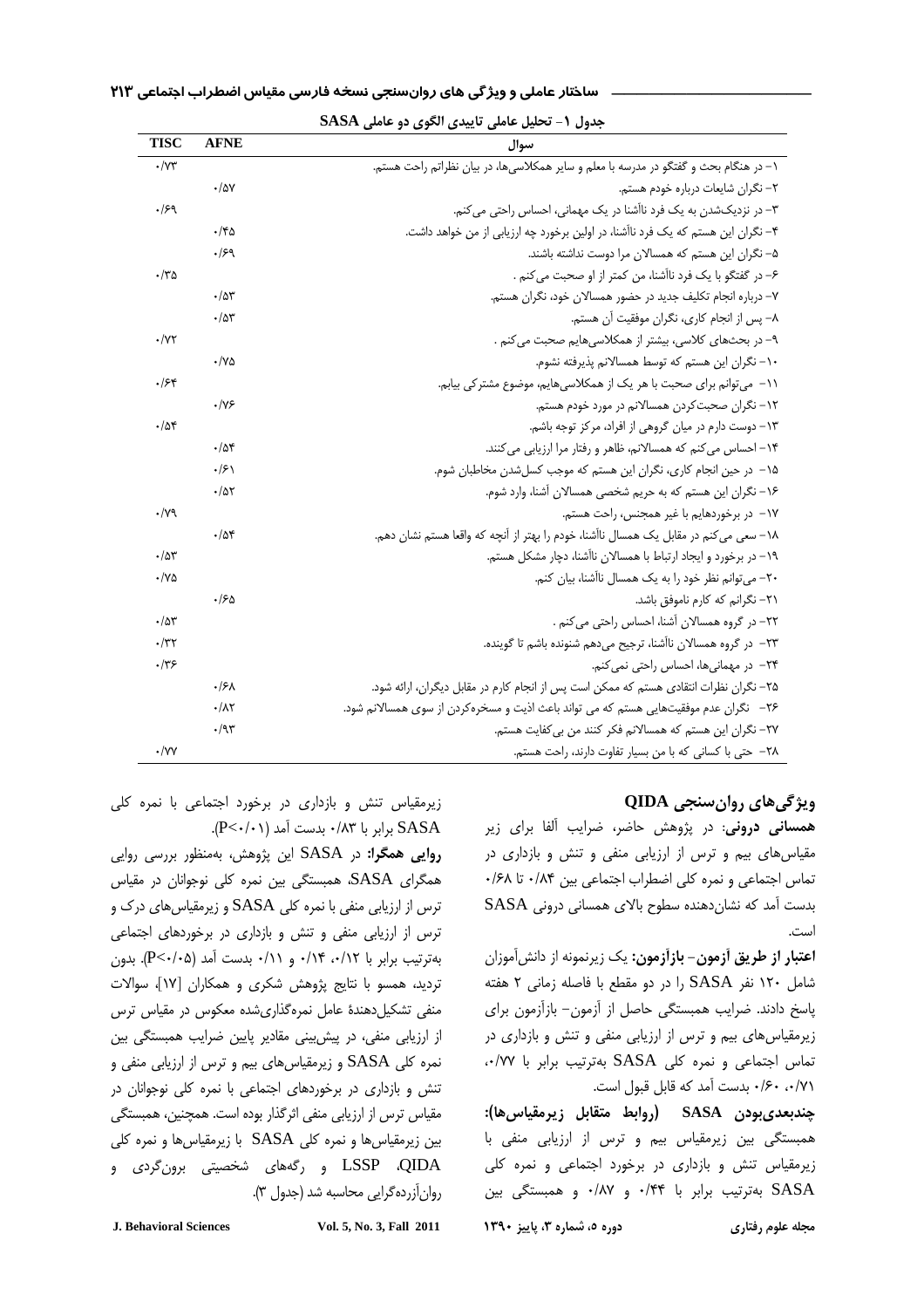| <b>TISC</b>            | <b>AFNE</b>         | سوال                                                                                  |  |
|------------------------|---------------------|---------------------------------------------------------------------------------------|--|
| $\cdot$ / $\gamma\tau$ |                     | ۱– در هنگام بحث و گفتگو در مدرسه با معلم و سایر همکلاسی ها، در بیان نظراتم راحت هستم. |  |
|                        | ۰/۵۷                | ٢– نگران شايعات درباره خودم هستم.                                                     |  |
| .159                   |                     | ۳- در نزدیکشدن به یک فرد ناآشنا در یک مهمانی، احساس راحتی می کنم.                     |  |
|                        | ۱۴۵.                | ۴- نگران این هستم که یک فرد ناآشنا، در اولین برخورد چه ارزیابی از من خواهد داشت.      |  |
|                        | 1۶۹.                | ۵– نگران این هستم که همسالان مرا دوست نداشته باشند.                                   |  |
| $\cdot$ /۳۵            |                     | ۶– در گفتگو با یک فرد ناآشنا، من کمتر از او صحبت می کنم .                             |  |
|                        | $\cdot$ /۵۳         | ٧– درباره انجام تكليف جديد در حضور همسالان خود، نگران هستم.                           |  |
|                        | ۰/۵۳                | ٨– پس از انجام كارى، نگران موفقيت آن هستم.                                            |  |
| $\cdot$ /YY            |                     | ۹- در بحثهای کلاسی، بیشتر از همکلاسیهایم صحبت می کنم .                                |  |
|                        | ۷۵۰/۰               | ١٠- نگران اين هستم كه توسط همسالانم پذيرفته نشوم.                                     |  |
| .158                   |                     | ١١- می توانم برای صحبت با هر یک از همکلاسی هایم، موضوع مشترکی بیابم.                  |  |
|                        | ۰/۷۶                | ۱۲– نگران صحبتکردن همسالانم در مورد خودم هستم.                                        |  |
| ۰/۵۴                   |                     | ١٣– دوست دارم در ميان گروهي از افراد، مركز توجه باشم.                                 |  |
|                        | .788                | ۱۴– احساس می کنم که همسالانم، ظاهر و رفتار مرا ارزیابی می کنند.                       |  |
|                        | $\cdot$ /۶۱         | ۱۵– در حین انجام کاری، نگران این هستم که موجب کسلشدن مخاطبان شوم.                     |  |
|                        | ۰/۵۲                | ۱۶– نگران این هستم که به حریم شخصی همسالان آشنا، وارد شوم.                            |  |
| $\cdot$ /yq            |                     | ١٧– در برخوردهايم با غير همجنس، راحت هستم.                                            |  |
|                        | ۰/۵۴                | ١٨– سعى مى كنم در مقابل يک همسال ناآشنا، خودم را بهتر از آنچه که واقعا هستم نشان دهم. |  |
| .78                    |                     | ۱۹– در برخورد و ایجاد ارتباط با همسالان ناآشنا، دچار مشکل هستم.                       |  |
| $\cdot$ /YQ            |                     | ۲۰– می توانم نظر خود را به یک همسال ناآشنا، بیان کنم.                                 |  |
|                        | ۱۶۵.                | ۲۱– نگرانم که کارم ناموفق باشد.                                                       |  |
| .78                    |                     | ٢٢- در گروه همسالان آشنا، احساس راحتی می کنم .                                        |  |
| $\cdot$ /٣٢            |                     | ٢٣– در گروه همسالان ناآشنا، ترجيح ميدهم شنونده باشم تا گوينده.                        |  |
| ۰/۳۶                   |                     | ٢۴– در مهمانیها، احساس راحتی نمی کنم.                                                 |  |
|                        | ۰۱۶۸                | ۲۵– نگران نظرات انتقادی هستم که ممکن است پس از انجام کارم در مقابل دیگران، ارائه شود. |  |
|                        | $\cdot/\lambda\tau$ | ۲۶− نگران عدم موفقیتهایی هستم که می تواند باعث اذیت و مسخره کردن از سوی همسالانم شود. |  |
|                        | ۰/۹۳                | ٢٧- نگران این هستم که همسالانم فکر کنند من بی کفایت هستم.                             |  |
| ۰/۷۷                   |                     | ٢٨- حتى با كسانى كه با من بسيار تفاوت دارند، راحت هستم.                               |  |

# -\*  !" # \$%&' ()    \_\_\_\_\_\_\_\_\_\_\_\_\_\_\_\_

### جدول -1 تحليل عاملي تاييدي الگوي دو عاملي **SASA**

# **QIDA**

همسانی درونی: در پژوهش حاضر، ضرایب آلفا برای زیر .<br>مقیاس های پیچ و ترس از ارزبانی منفی و تنش و بازداری در .<br>تماس احتماعي و نمره كلي أضطراب احتماعي بين ١٨۴٠ تا ٠/۶٨ بدست آمد که نشان دهنده سطوح بالای همسانی درونی SASA است.

ا**عتبار از طریق آزمون- بازآزمون:** یک زیرنمونه از دانشآموزان شامل ۱۲۰ نفر SASA را در دو مقطع با فاصله زمانی ۲ هفته باسخ دادند. ضراب همیستگ حاصل از آزمون – بازآزمون برا*ی* .<br>زب مقیاس های سم و ترس از ارزبایی منفی و تنش و بازداری در .<br>تماس اجتماعی و نمره کلی SASA بهترتیب برابر با ۰٬۷۷۷ ٠/٧١، ١۶٠، بدست أمد كه قابل قبول است.

چندبعدیبودن SASA (روابط متقابل زیرمقیاس۱۰): همیستگ بن زنومقیاس بیم و ترس از ارزبایی منفی با .<br>زیامقیاس تنش و بازداری در باخورد احتماعی و نمره کلی SASA بهترتیب برابر با ۰/۴۴ و ۰/۸۷ و همبستگی بین

مجله علوم رفتار

.<br>زیرمقیاس تنش و بازداری در برخورد احتماعه با نمره کلی .(P<-/·۱) بدابر با ۰/۸۳ بدست آمد (P<-/·۱).

روایی همگرا: در SASA این پژوهش، بهمنظور بررسی روایی همگرای SASA، همبستگی بین نمره کلی نوجوانان در مقیاس رس از ارزیابی منفی با نمره کلی SASA و زیرمقیاس های درک و .<br>ڏ .س از ارزبایی منفی و تنش و بازداری در برخوردهای احتماعی .<br>ت بهترتيب برابر با ٠/١٢، ١١٤، و ٠/١١، بدست آمد (٣<٠/٠٥). بدون .<br>دید، همسو با نتایج شوهش شکری و همکاران [۱۷]، سوالات .<br>ڏ منفي تشكيا دهندۀ عامل نمرهگذاري شده معكوس در مقياس ترس از ارزبایی منفی، در پیش بینی مقادیر بایین ضرایب همیستگی بین .<br>نمره کلی SASA و زیرمقیاسهای بیم و ترس از ارزیابی منفی و .<br>تنش و بازداری در برخوردهای احتماعی با نمره کلی نوجوانان در مقیاس ترس از آن باب منفی اثرگذار بوده اس*ت. همچن*ین، همستگی بین زیرمقیاس ها و نمره کلی SASA با زیرمقیاس ها و نمره کلی LSSP ،QIDA و رگەھای شخصیتی برونگردی و روان آزرده گرابی محاسبه شد (جدول ۳).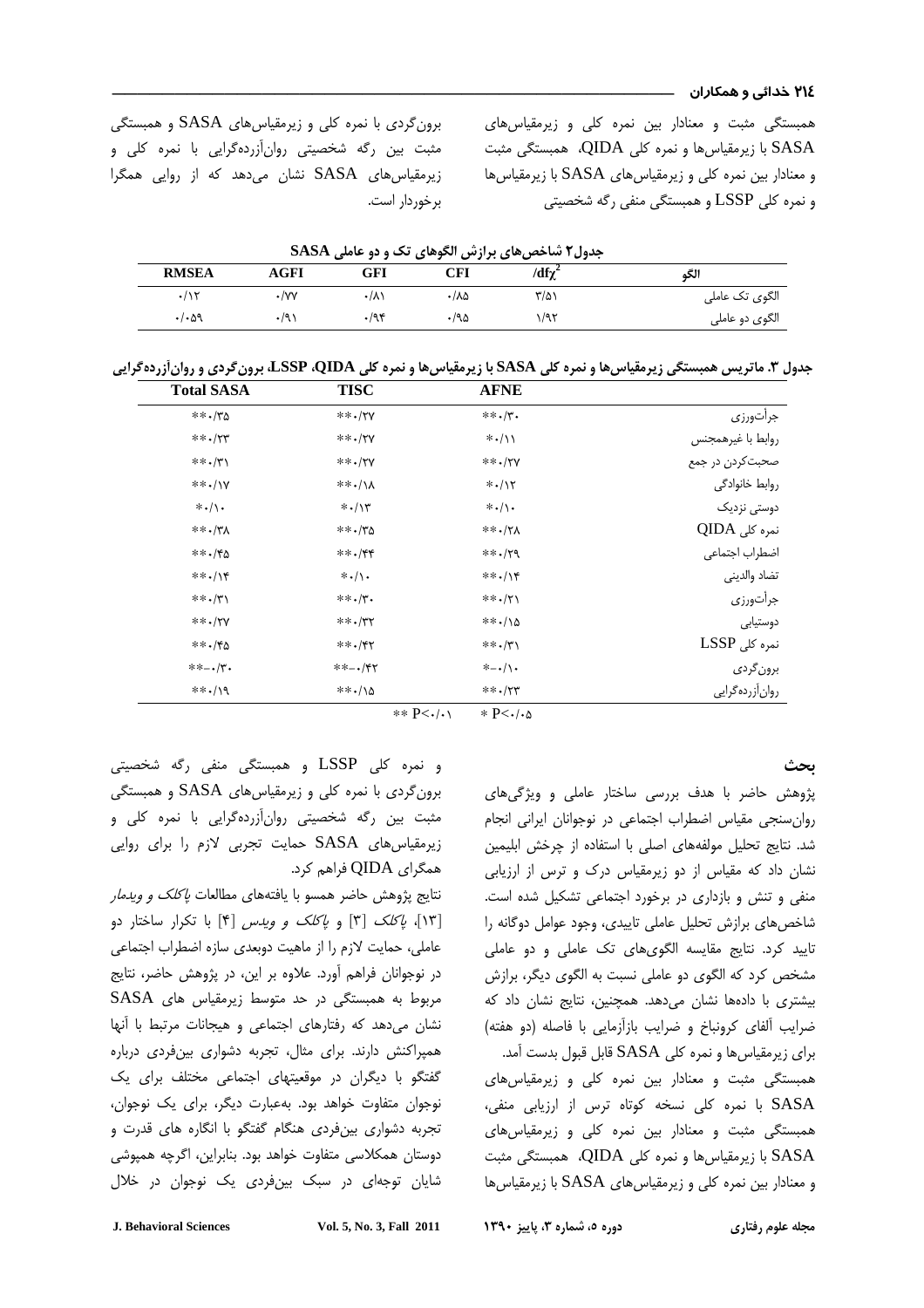همیستگ مثبت و معنادار بین نمره کلی و زیرمقیاس ها*ی* د با زیرمقیاسها و نمره کلی QIDA، همبستگی مثبت RASA و معنادار بین نمره کلی و زیرمقیاس های SASA با زیرمقیاس ها و نمره کلی LSSP و همبستگی منفی رگه شخصیتی

رون گردی با نمره کلی و زیرمقیاسهای SASA و همبستگی J مثبت بین رگه شخصیتی روان آزردهگرایی با نمره کلی و .<br>زیرمقیاس های SASA نشان میدهد که از روایی همگرا برخوردار است. .<br>د

|                     | جدول۲ شاخصهای برازش الگوهای تک و دو عاملی SASA |      |       |               |                            |
|---------------------|------------------------------------------------|------|-------|---------------|----------------------------|
| <b>RMSEA</b>        | AGFI                                           | GFI  | CFI   | /df $\chi^2$  | الگو                       |
| $\cdot/\gamma$      | $\cdot$ /yy                                    | ۰/۸۱ | ۸۵۰/۰ | $\frac{1}{2}$ | الگوی تک عامل <sub>ی</sub> |
| $. / . \, \Delta$ ۹ |                                                | .795 | ۱۹۵.  | ۱/۹۲          | الگوی دو عاملی             |

جدول .3 ماتريس همبستگي زيرمقياسها و نمره كلي **SASA** با زيرمقياسها و نمره كلي **QIDA**، **LSSP**، برونگردي و روانآزردهگرايي

|                                | <b>AFNE</b>          | <b>TISC</b>               | <b>Total SASA</b>    |
|--------------------------------|----------------------|---------------------------|----------------------|
| جرأتورزي                       | $***$ ./۳.           | $***$ ./۲۷                | $***$ /٣٥            |
| روابط با غيرهمجنس              | $* \cdot / \wedge$   | $***$ /۲۷                 | $***$ / $YY$         |
| صحبت کردن در جمع               | $***$ /۲۷            | $***$ ./۲۷                | $***$ / (*)          |
| روابط خانوادگى                 | $* \cdot / \times$   | ***/\\                    | $***/IV$             |
| دوست <i>ی</i> نزدیک            | $* \cdot / \cdot$    | $* \cdot / \times$        | $* \cdot / \cdot$    |
| نمرہ کلی QIDA                  | $***$ / $Y$ $\wedge$ | $***$ / $\gamma$ $\Delta$ | $***$ /٣٨            |
| اضطراب اجتماعي                 | $***$ / $Y9$         | $***$ /۴۴                 | $***$ . /۴۵          |
| تضاد والدينى                   | $***/$               | $* \cdot / \cdot$         | $***/$               |
| جرأتورزي                       | $***$ $/7$           | $***$ . $/7.$             | $***$ / $\uparrow$ \ |
| دوستيابي                       | $***/0$              | $***$ /۳۲                 | $***/7V$             |
| $\operatorname{LSSP}$ نمرہ کلی | $***$ . $/7$         | $***$ /۴۲                 | $***$ /۴۵            |
| برون گردی                      | $*$ - $\cdot/\cdot$  | $***-*/YY$                | $** - \cdot / \cdot$ |
| روان آزرده گرایی               | $***$ /۲۳            | $***/10$                  | $***/9$              |

 $*$  P< $\cdot$ / $\cdot$   $*$  P< $\cdot$ / $\cdot$ ∆

### ىحث

ن هش حاضر با هدف برسي ساختار عاملي و ون *گ*رها*ی* روان سنجر مقياس اضطراب احتماعه در نوجوانان ابراني انجام شد. نتابح تحليل مولفهها*ي* إصلي با استفاده إز حرخش ابليمين .<br>نشان داد که مقیاس از دو زبرمقیاس درک و ترس از آرزبایی منف و تنش و بازدار*ی* در برخورد احتماعی تشکیل شده است. .<br>شاخص های برازش تحلیل عاملی تابیدی، وجود عوامل دوگانه را .<br>تابید کرد. نتایج مقایسه الگوی@ای تک عاملی و دو عاملی مشخص ک۱د که الگوی ده عاملی نسبت به الگوی دیگ، برازش بیشتری با دادهها نشان میدهد. همچنین، نتایج نشان داد که .<br>ضرابب ألفاي كرونياخ و ضرابب بازأزماني با فاصله (دو هفته) رای زیرمقیاس ها و نمره کلی SASA قابل قبول بدست آمد. j همیستگر مثبت و معنادار بین نمره کلی و زیرمقیاس های .<br>SASA با نمره کلی نسخه کوتاه ترس از ارزیابی منفی، همیستگر مثبت و معنادار بین نمره کلی و زیرمقیاس های د با زیرمقیاسها و نمره کلی QIDA، همبستگی مثبت RASA

و معنادار بین نمره کلی و زیرمقیاس های SASA با زیرمقیاس ها

و نمرہ کلی LSSP و همبستگی منفی رگه شخصیتی رون گردی با نمره کلی و زیرمقیاسهای SASA و همبستگی .<br>د مثبت بین رگه شخصیتی روان آزردهگرایی با نمره کلی و زیرمقیاس های SASA حمایت تجربی لازم را برای روایی همگراي QIDA فراهم كرد.

.<br>نتایج پژوهش حاضر همسو با یافتههای مطالعات *پاکلک و ویدمار* ۔<br>[۱۳]، *پاکلک* [۳] و *پاکلک و ویدس* [۴] با تکرار ساختار دو ءاملی، حمایت لازم را از ماهیت دوبعدی سازه اضطراب احتماعی در نوجوانان فراهم آورد. علاوه بر آبن، در شوهش حاضر، نتابج .<br>مربوط به همبستگی در حد متوسط زیرمقیاس های SASA نشان میدهد که رفتارها*ی* احتماعی و هیچانات مرتبط با آنها همبراکنش دارند. برای مثال، تحربه دشواری بین فردی درباره گفتگو با دیگران در موقعیتھای احتماعی مختلف برای یک نوجوان متفاوت خواهد بود. بهعبارت دیگی برای یک نوجوان، تح به دشواری بین فردی هنگام گفتگو با انگاره های قدرت و دوستان همکلاسی متفاوت خواهد بود. بنایرانن، اگرچه همپوشی .<br>شایان توجهای در سبک بین فردی یک نوجهان در خلال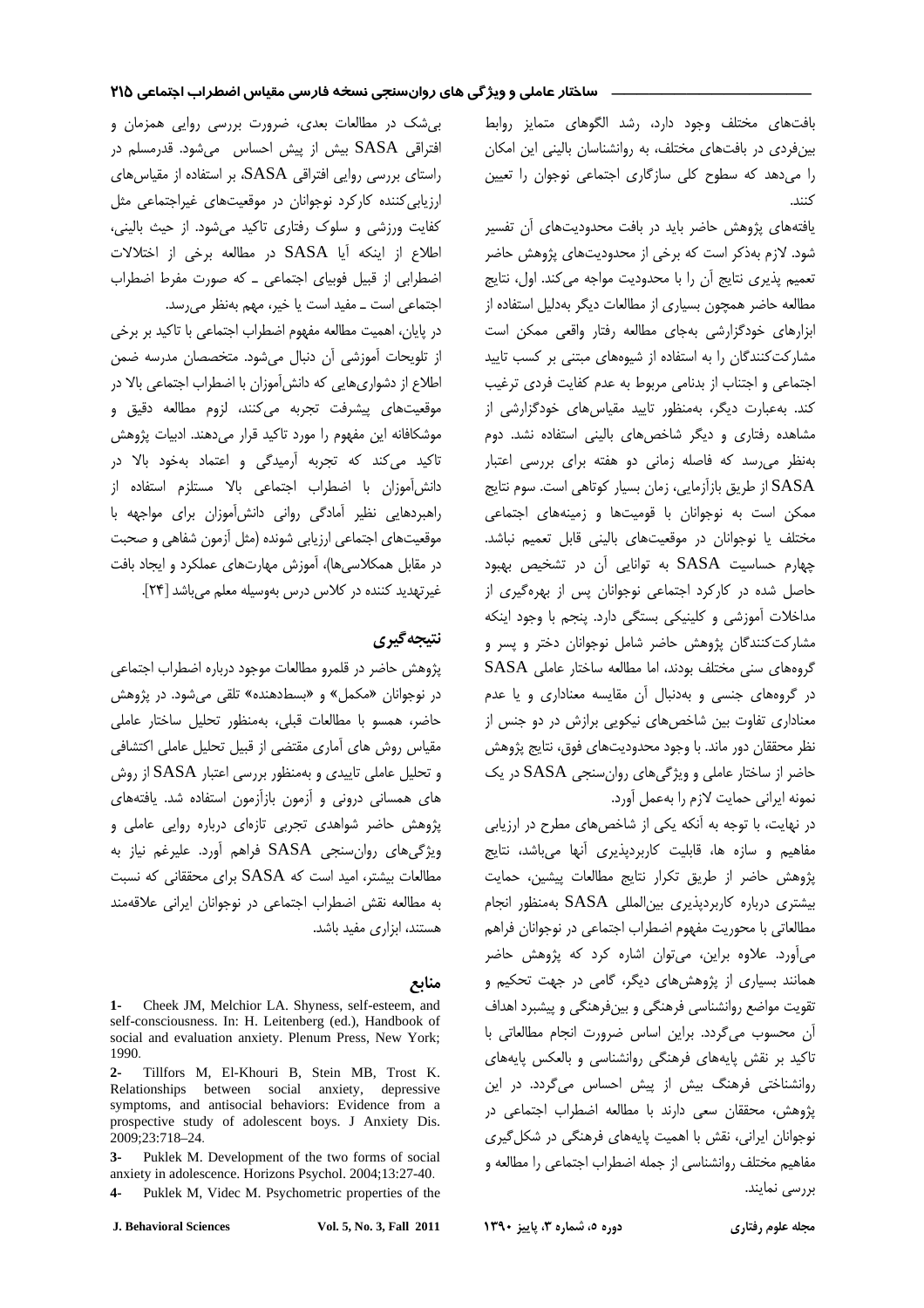بافتهای مختلف وجود دارد، رشد الگوهای متمایز روابط بینفردی در بافتهای مختلف، به روانشناسان بالینی این امکان را می دهد که سطوح کلی سازگاری اجتماعی نوجوان را تعیین كنند.

یافتههای پژوهش حاضر باید در بافت محدودیتهای آن تفسیر شود. لازم بهذکر است که برخی از محدودیتهای پژوهش حاضر تعميم پذيري نتايج أن را با محدوديت مواجه مي كند. اول، نتايج مطالعه حاضر همچون بسیاری از مطالعات دیگر بهدلیل استفاده از ابزارهای خودگزارشی بهجای مطالعه رفتار واقعی ممکن است مشارکت کنندگان را به استفاده از شیوههای مبتنی بر کسب تایید اجتماعی و اجتناب از بدنامی مربوط به عدم کفایت فردی ترغیب کند. بهعبارت دیگر، بهمنظور تایید مقیاس های خودگزارشی از مشاهده رفتاری و دیگر شاخصهای بالینی استفاده نشد. دوم بهنظر می رسد که فاصله زمانی دو هفته برای بررسی اعتبار SASA از طریق بازآزمایی، زمان بسیار کوتاهی است. سوم نتایج ممکن است به نوجوانان با قومیتها و زمینههای اجتماعی مختلف یا نوجوانان در موقعیتهای بالینی قابل تعمیم نباشد. چهارم حساسیت SASA به توانایی آن در تشخیص بهبود حاصل شده در کارکرد اجتماعی نوجوانان پس از بهرهگیری از مداخلات آموزشی و کلینیکی بستگی دارد. پنجم با وجود اینکه مشارکتکنندگان پژوهش حاضر شامل نوجوانان دختر و پسر و گروههای سنی مختلف بودند، اما مطالعه ساختار عاملی SASA در گروههای جنسی و بهدنبال آن مقایسه معناداری و یا عدم معناداری تفاوت بین شاخصهای نیکویی برازش در دو جنس از نظر محققان دور ماند. با وجود محدودیتهای فوق، نتایج پژوهش حاضر از ساختار عاملی و ویژگیهای روان سنجی SASA در یک نمونه ايراني حمايت لازم را بهعمل آورد.

در نهایت، با توجه به آنکه یکی از شاخصهای مطرح در ارزیابی مفاهیم و سازه ها، قابلیت کاربردپذیری آنها میباشد، نتایج يژوهش حاضر از طريق تكرار نتايج مطالعات پيشين، حمايت بیشتری درباره کاربردپذیری بین المللی SASA بهمنظور انجام مطالعاتی با محوریت مفهوم اضطراب اجتماعی در نوجوانان فراهم می آورد. علاوه براین، می توان اشاره کرد که پژوهش حاضر همانند بسیاری از پژوهشهای دیگر، گامی در جهت تحکیم و تقویت مواضع روانشناسی فرهنگی و بینفرهنگی و پیشبرد اهداف آن محسوب می گردد. براین اساس ضرورت انجام مطالعاتی با تاکید بر نقش پایههای فرهنگی روانشناسی و بالعکس پایههای روانشناختی فرهنگ بیش از پیش احساس میگردد. در این پژوهش، محققان سعی دارند با مطالعه اضطراب اجتماعی در نوجوانان ایرانی، نقش با اهمیت پایههای فرهنگی در شکل گیری مفاهیم مختلف روانشناسی از جمله اضطراب اجتماعی را مطالعه و بررسى نمايند.

بی شک در مطالعات بعدی، ضرورت بررسی روایی همزمان و افتراقی SASA بیش از پیش احساس میشود. قدرمسلم در راستای بررسی روایی افتراقی SASA، بر استفاده از مقیاس های ارزیابی کننده کارکرد نوجوانان در موقعیتهای غیراجتماعی مثل کفایت ورزشی و سلوک رفتاری تاکید میشود. از حیث بالینی، اطلاع از اینکه آیا SASA در مطالعه برخی از اختلالات اضطرابی از قبیل فوبیای اجتماعی ـ که صورت مفرط اضطراب اجتماعی است ـ مفید است یا خیر، مهم بهنظر می رسد.

در پایان، اهمیت مطالعه مفهوم اضطراب اجتماعی با تاکید بر برخی از تلويحات آموزشي آن دنبال مي شود. متخصصان مدرسه ضمن اطلاع از دشواریهایی که دانش آموزان با اضطراب اجتماعی بالا در موقعیتهای پیشرفت تجربه می کنند، لزوم مطالعه دقیق و موشكافانه اين مفهوم را مورد تاكيد قرار مى دهند. ادبيات پژوهش تاکید میکند که تجربه آرمیدگی و اعتماد بهخود بالا در دانش آموزان با اضطراب اجتماعی بالا مستلزم استفاده از راهبردهایی نظیر آمادگی روانی دانش آموزان برای مواجهه با موقعیتهای اجتماعی ارزیابی شونده (مثل آزمون شفاهی و صحبت در مقابل همکلاسیها)، آموزش مهارتهای عملکرد و ایجاد بافت غیرتهدید کننده در کلاس درس بهوسیله معلم می باشد [۲۴].

# نتيجه گيري

پژوهش حاضر در قلمرو مطالعات موجود درباره اضطراب اجتماعی در نوجوانان «مکمل» و «بسط دهنده» تلقی میشود. در پژوهش حاضر، همسو با مطالعات قبلی، بهمنظور تحلیل ساختار عاملی مقیاس روش های آماری مقتضی از قبیل تحلیل عاملی اکتشافی و تحلیل عاملی تاییدی و بهمنظور بررسی اعتبار SASA از روش های همسانی درونی و آزمون بازآزمون استفاده شد. یافتههای پژوهش حاضر شواهدی تجربی تازهای درباره روایی عاملی و ویژگیهای روان سنجی SASA فراهم آورد. علیرغم نیاز به مطالعات بیشتر، امید است که SASA برای محققانی که نسبت به مطالعه نقش اضطراب اجتماعی در نوجوانان ایرانی علاقهمند هستند، ابزاری مفید باشد.

### منابع

 $1 -$ Cheek JM, Melchior LA. Shyness, self-esteem, and self-consciousness. In: H. Leitenberg (ed.), Handbook of social and evaluation anxiety. Plenum Press, New York; 1990.

Tillfors M, El-Khouri B, Stein MB, Trost K.  $2 -$ Relationships between social anxiety, depressive symptoms, and antisocial behaviors: Evidence from a prospective study of adolescent boys. J Anxiety Dis. 2009;23:718-24.

 $\mathbf{a}$ Puklek M. Development of the two forms of social anxiety in adolescence. Horizons Psychol. 2004;13:27-40.

Puklek M, Videc M. Psychometric properties of the  $\mathbf{4}$ 

**J. Behavioral Sciences**